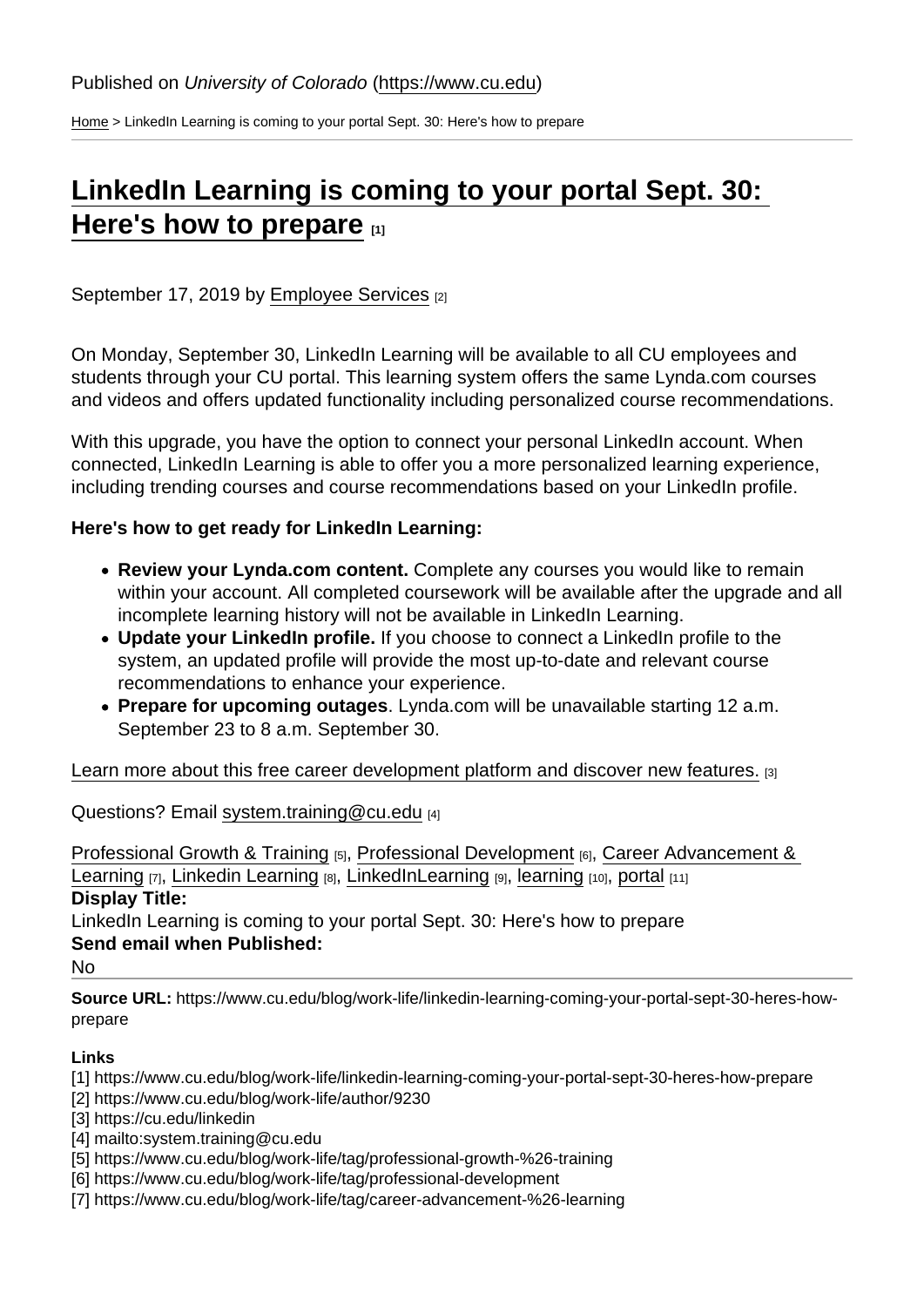[Home](https://www.cu.edu/) > LinkedIn Learning is coming to your portal Sept. 30: Here's how to prepare

## [LinkedIn Learning is coming to your portal Sept. 30:](https://www.cu.edu/blog/work-life/linkedin-learning-coming-your-portal-sept-30-heres-how-prepare)  [Here's how to prepare](https://www.cu.edu/blog/work-life/linkedin-learning-coming-your-portal-sept-30-heres-how-prepare)  $_{11}$

September 17, 2019 by [Employee Services](https://www.cu.edu/blog/work-life/author/9230) [2]

On Monday, September 30, LinkedIn Learning will be available to all CU employees and students through your CU portal. This learning system offers the same Lynda.com courses and videos and offers updated functionality including personalized course recommendations.

With this upgrade, you have the option to connect your personal LinkedIn account. When connected, LinkedIn Learning is able to offer you a more personalized learning experience, including trending courses and course recommendations based on your LinkedIn profile.

Here's how to get ready for LinkedIn Learning:

- Review your Lynda.com content. Complete any courses you would like to remain within your account. All completed coursework will be available after the upgrade and all incomplete learning history will not be available in LinkedIn Learning.
- Update your LinkedIn profile. If you choose to connect a LinkedIn profile to the system, an updated profile will provide the most up-to-date and relevant course recommendations to enhance your experience.
- Prepare for upcoming outages . Lynda.com will be unavailable starting 12 a.m. September 23 to 8 a.m. September 30.

[Learn more about this free career development platform and discover new features.](https://cu.edu/linkedin) [3]

Questions? Email [system.training@cu.edu](mailto:system.training@cu.edu) [4]

[Professional Growth & Training](https://www.cu.edu/blog/work-life/tag/professional-growth-&-training) [5], [Professional Development](https://www.cu.edu/blog/work-life/tag/professional-development) [6], [Career Advancement &](https://www.cu.edu/blog/work-life/tag/career-advancement-&-learning)  [Learning](https://www.cu.edu/blog/work-life/tag/career-advancement-&-learning)  $[7]$ , [Linkedin Learning](https://www.cu.edu/blog/work-life/tag/linkedin-learning)  $[8]$ , [LinkedInLearning](https://www.cu.edu/blog/work-life/tag/linkedinlearning)  $[9]$ , [learning](https://www.cu.edu/blog/work-life/tag/learning)  $[10]$ , [portal](https://www.cu.edu/blog/work-life/tag/portal)  $[11]$ Display Title:

LinkedIn Learning is coming to your portal Sept. 30: Here's how to prepare Send email when Published:

No

Source URL: https://www.cu.edu/blog/work-life/linkedin-learning-coming-your-portal-sept-30-heres-howprepare

Links

- [1] https://www.cu.edu/blog/work-life/linkedin-learning-coming-your-portal-sept-30-heres-how-prepare
- [2] https://www.cu.edu/blog/work-life/author/9230
- [3] https://cu.edu/linkedin
- [4] mailto:system.training@cu.edu
- [5] https://www.cu.edu/blog/work-life/tag/professional-growth-%26-training
- [6] https://www.cu.edu/blog/work-life/tag/professional-development
- [7] https://www.cu.edu/blog/work-life/tag/career-advancement-%26-learning